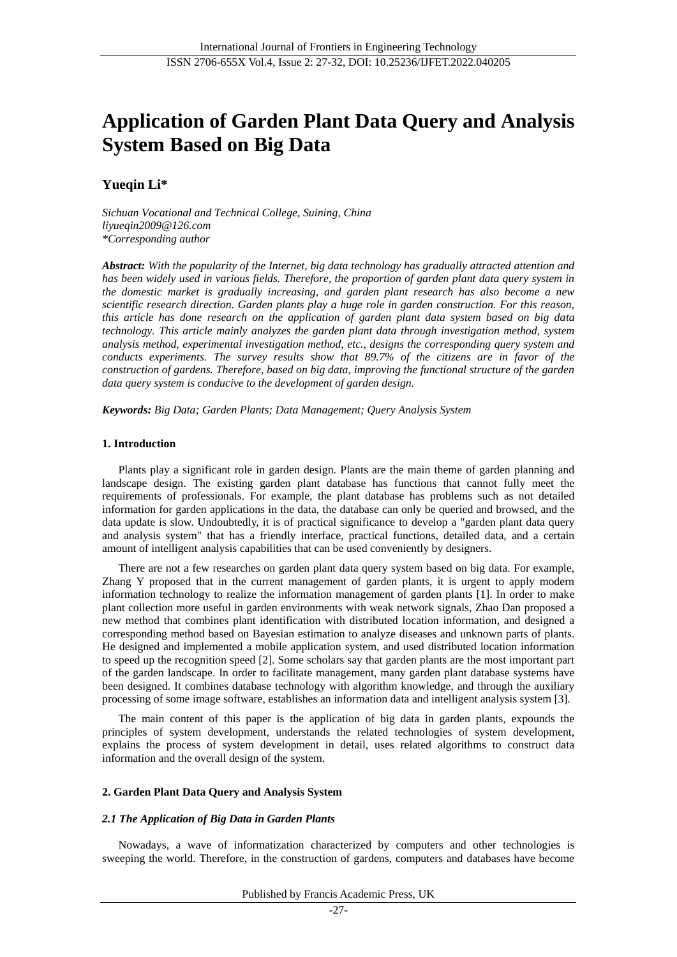# **Application of Garden Plant Data Query and Analysis System Based on Big Data**

# **Yueqin Li\***

*Sichuan Vocational and Technical College, Suining, China liyueqin2009@126.com \*Corresponding author*

*Abstract: With the popularity of the Internet, big data technology has gradually attracted attention and has been widely used in various fields. Therefore, the proportion of garden plant data query system in the domestic market is gradually increasing, and garden plant research has also become a new scientific research direction. Garden plants play a huge role in garden construction. For this reason, this article has done research on the application of garden plant data system based on big data technology. This article mainly analyzes the garden plant data through investigation method, system analysis method, experimental investigation method, etc., designs the corresponding query system and conducts experiments. The survey results show that 89.7% of the citizens are in favor of the construction of gardens. Therefore, based on big data, improving the functional structure of the garden data query system is conducive to the development of garden design.*

*Keywords: Big Data; Garden Plants; Data Management; Query Analysis System*

#### **1. Introduction**

Plants play a significant role in garden design. Plants are the main theme of garden planning and landscape design. The existing garden plant database has functions that cannot fully meet the requirements of professionals. For example, the plant database has problems such as not detailed information for garden applications in the data, the database can only be queried and browsed, and the data update is slow. Undoubtedly, it is of practical significance to develop a "garden plant data query and analysis system" that has a friendly interface, practical functions, detailed data, and a certain amount of intelligent analysis capabilities that can be used conveniently by designers.

There are not a few researches on garden plant data query system based on big data. For example, Zhang Y proposed that in the current management of garden plants, it is urgent to apply modern information technology to realize the information management of garden plants [1]. In order to make plant collection more useful in garden environments with weak network signals, Zhao Dan proposed a new method that combines plant identification with distributed location information, and designed a corresponding method based on Bayesian estimation to analyze diseases and unknown parts of plants. He designed and implemented a mobile application system, and used distributed location information to speed up the recognition speed [2]. Some scholars say that garden plants are the most important part of the garden landscape. In order to facilitate management, many garden plant database systems have been designed. It combines database technology with algorithm knowledge, and through the auxiliary processing of some image software, establishes an information data and intelligent analysis system [3].

The main content of this paper is the application of big data in garden plants, expounds the principles of system development, understands the related technologies of system development, explains the process of system development in detail, uses related algorithms to construct data information and the overall design of the system.

#### **2. Garden Plant Data Query and Analysis System**

#### *2.1 The Application of Big Data in Garden Plants*

Nowadays, a wave of informatization characterized by computers and other technologies is sweeping the world. Therefore, in the construction of gardens, computers and databases have become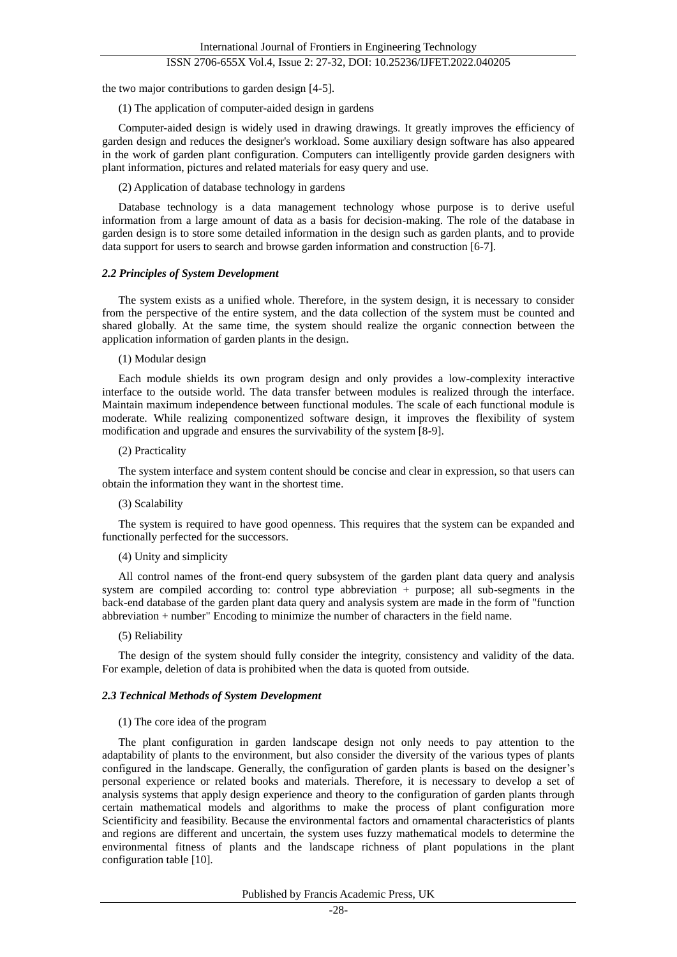# ISSN 2706-655X Vol.4, Issue 2: 27-32, DOI: 10.25236/IJFET.2022.040205

the two major contributions to garden design [4-5].

(1) The application of computer-aided design in gardens

Computer-aided design is widely used in drawing drawings. It greatly improves the efficiency of garden design and reduces the designer's workload. Some auxiliary design software has also appeared in the work of garden plant configuration. Computers can intelligently provide garden designers with plant information, pictures and related materials for easy query and use.

(2) Application of database technology in gardens

Database technology is a data management technology whose purpose is to derive useful information from a large amount of data as a basis for decision-making. The role of the database in garden design is to store some detailed information in the design such as garden plants, and to provide data support for users to search and browse garden information and construction [6-7].

#### *2.2 Principles of System Development*

The system exists as a unified whole. Therefore, in the system design, it is necessary to consider from the perspective of the entire system, and the data collection of the system must be counted and shared globally. At the same time, the system should realize the organic connection between the application information of garden plants in the design.

#### (1) Modular design

Each module shields its own program design and only provides a low-complexity interactive interface to the outside world. The data transfer between modules is realized through the interface. Maintain maximum independence between functional modules. The scale of each functional module is moderate. While realizing componentized software design, it improves the flexibility of system modification and upgrade and ensures the survivability of the system [8-9].

#### (2) Practicality

The system interface and system content should be concise and clear in expression, so that users can obtain the information they want in the shortest time.

#### (3) Scalability

The system is required to have good openness. This requires that the system can be expanded and functionally perfected for the successors.

#### (4) Unity and simplicity

All control names of the front-end query subsystem of the garden plant data query and analysis system are compiled according to: control type abbreviation + purpose; all sub-segments in the back-end database of the garden plant data query and analysis system are made in the form of "function abbreviation + number" Encoding to minimize the number of characters in the field name.

#### (5) Reliability

The design of the system should fully consider the integrity, consistency and validity of the data. For example, deletion of data is prohibited when the data is quoted from outside.

#### *2.3 Technical Methods of System Development*

#### (1) The core idea of the program

The plant configuration in garden landscape design not only needs to pay attention to the adaptability of plants to the environment, but also consider the diversity of the various types of plants configured in the landscape. Generally, the configuration of garden plants is based on the designer's personal experience or related books and materials. Therefore, it is necessary to develop a set of analysis systems that apply design experience and theory to the configuration of garden plants through certain mathematical models and algorithms to make the process of plant configuration more Scientificity and feasibility. Because the environmental factors and ornamental characteristics of plants and regions are different and uncertain, the system uses fuzzy mathematical models to determine the environmental fitness of plants and the landscape richness of plant populations in the plant configuration table [10].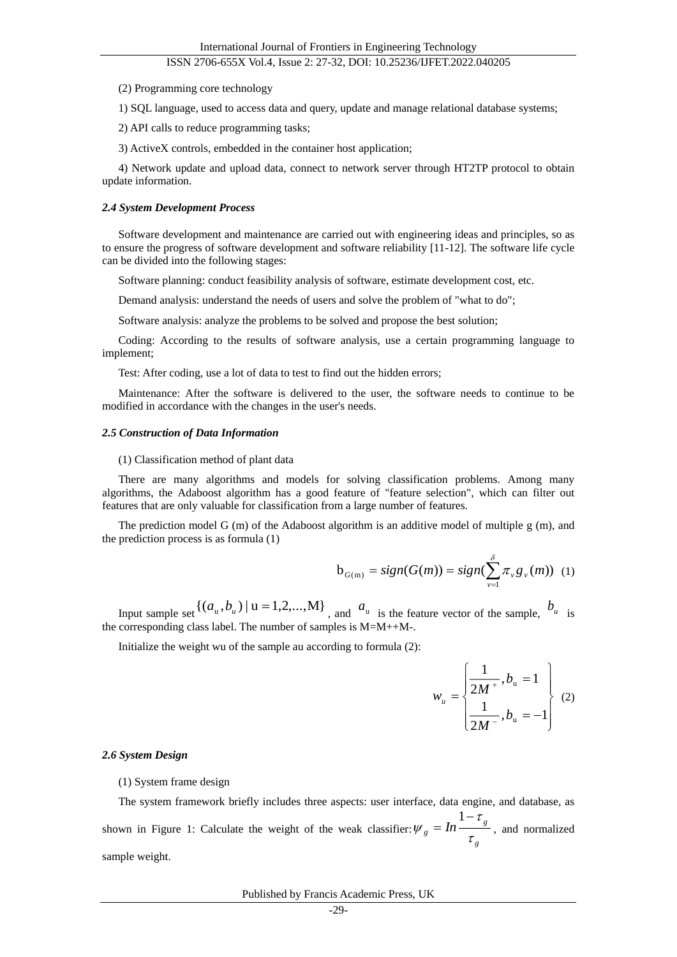#### ISSN 2706-655X Vol.4, Issue 2: 27-32, DOI: 10.25236/IJFET.2022.040205

(2) Programming core technology

1) SQL language, used to access data and query, update and manage relational database systems;

2) API calls to reduce programming tasks;

3) ActiveX controls, embedded in the container host application;

4) Network update and upload data, connect to network server through HT2TP protocol to obtain update information.

#### *2.4 System Development Process*

Software development and maintenance are carried out with engineering ideas and principles, so as to ensure the progress of software development and software reliability [11-12]. The software life cycle can be divided into the following stages:

Software planning: conduct feasibility analysis of software, estimate development cost, etc.

Demand analysis: understand the needs of users and solve the problem of "what to do";

Software analysis: analyze the problems to be solved and propose the best solution;

Coding: According to the results of software analysis, use a certain programming language to implement;

Test: After coding, use a lot of data to test to find out the hidden errors;

Maintenance: After the software is delivered to the user, the software needs to continue to be modified in accordance with the changes in the user's needs.

#### *2.5 Construction of Data Information*

(1) Classification method of plant data

There are many algorithms and models for solving classification problems. Among many algorithms, the Adaboost algorithm has a good feature of "feature selection", which can filter out features that are only valuable for classification from a large number of features.

The prediction model G (m) of the Adaboost algorithm is an additive model of multiple g (m), and the prediction process is as formula (1)

$$
b_{G(m)} = sign(G(m)) = sign(\sum_{v=1}^{\delta} \pi_v g_v(m)) \quad (1)
$$

Input sample set  $\{(a_u, b_u) | u = 1, 2, ..., M\}$ , and  $a_u$  is the feature vector of the sample,  $b_u$  is the corresponding class label. The number of samples is M=M++M-.

Initialize the weight wu of the sample au according to formula (2):

$$
w_{u} = \begin{cases} \frac{1}{2M^{+}}, b_{u} = 1\\ \frac{1}{2M^{-}}, b_{u} = -1 \end{cases}
$$
 (2)

#### *2.6 System Design*

(1) System frame design

The system framework briefly includes three aspects: user interface, data engine, and database, as shown in Figure 1: Calculate the weight of the weak classifier: *g g*  $_{g}$  = In τ τ  $W_e = In^{\frac{1}{1-\frac{1}{2}}$ 1 , and normalized sample weight.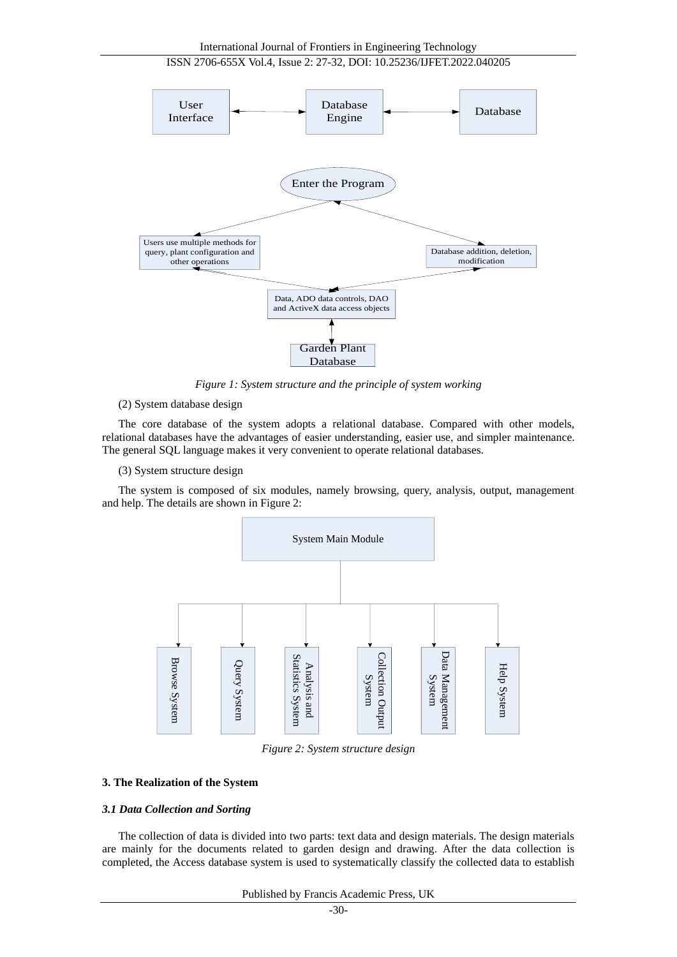

*Figure 1: System structure and the principle of system working*

#### (2) System database design

The core database of the system adopts a relational database. Compared with other models, relational databases have the advantages of easier understanding, easier use, and simpler maintenance. The general SQL language makes it very convenient to operate relational databases.

(3) System structure design

The system is composed of six modules, namely browsing, query, analysis, output, management and help. The details are shown in Figure 2:



*Figure 2: System structure design*

### **3. The Realization of the System**

#### *3.1 Data Collection and Sorting*

The collection of data is divided into two parts: text data and design materials. The design materials are mainly for the documents related to garden design and drawing. After the data collection is completed, the Access database system is used to systematically classify the collected data to establish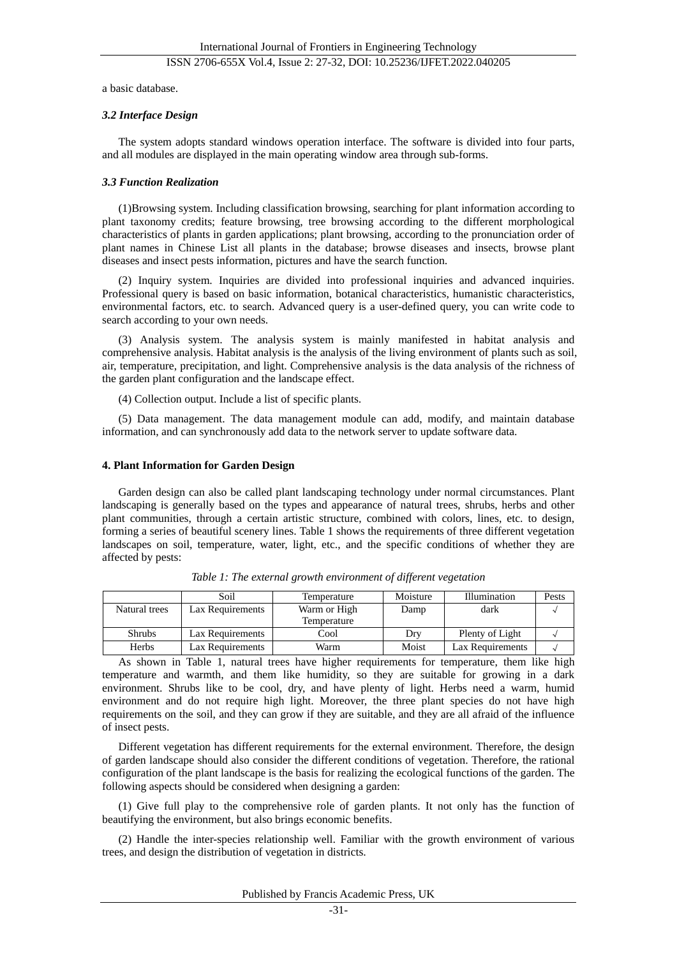a basic database.

#### *3.2 Interface Design*

The system adopts standard windows operation interface. The software is divided into four parts, and all modules are displayed in the main operating window area through sub-forms.

#### *3.3 Function Realization*

(1)Browsing system. Including classification browsing, searching for plant information according to plant taxonomy credits; feature browsing, tree browsing according to the different morphological characteristics of plants in garden applications; plant browsing, according to the pronunciation order of plant names in Chinese List all plants in the database; browse diseases and insects, browse plant diseases and insect pests information, pictures and have the search function.

(2) Inquiry system. Inquiries are divided into professional inquiries and advanced inquiries. Professional query is based on basic information, botanical characteristics, humanistic characteristics, environmental factors, etc. to search. Advanced query is a user-defined query, you can write code to search according to your own needs.

(3) Analysis system. The analysis system is mainly manifested in habitat analysis and comprehensive analysis. Habitat analysis is the analysis of the living environment of plants such as soil, air, temperature, precipitation, and light. Comprehensive analysis is the data analysis of the richness of the garden plant configuration and the landscape effect.

(4) Collection output. Include a list of specific plants.

(5) Data management. The data management module can add, modify, and maintain database information, and can synchronously add data to the network server to update software data.

#### **4. Plant Information for Garden Design**

Garden design can also be called plant landscaping technology under normal circumstances. Plant landscaping is generally based on the types and appearance of natural trees, shrubs, herbs and other plant communities, through a certain artistic structure, combined with colors, lines, etc. to design, forming a series of beautiful scenery lines. Table 1 shows the requirements of three different vegetation landscapes on soil, temperature, water, light, etc., and the specific conditions of whether they are affected by pests:

|               | Soil             | Temperature  | Moisture | Illumination     | Pests |
|---------------|------------------|--------------|----------|------------------|-------|
| Natural trees | Lax Requirements | Warm or High | Damp     | dark             |       |
|               |                  | Temperature  |          |                  |       |
| Shrubs        | Lax Requirements | Cool         | Drv      | Plenty of Light  |       |
| Herbs         | Lax Requirements | Warm         | Moist    | Lax Requirements |       |

*Table 1: The external growth environment of different vegetation*

As shown in Table 1, natural trees have higher requirements for temperature, them like high temperature and warmth, and them like humidity, so they are suitable for growing in a dark environment. Shrubs like to be cool, dry, and have plenty of light. Herbs need a warm, humid environment and do not require high light. Moreover, the three plant species do not have high requirements on the soil, and they can grow if they are suitable, and they are all afraid of the influence of insect pests.

Different vegetation has different requirements for the external environment. Therefore, the design of garden landscape should also consider the different conditions of vegetation. Therefore, the rational configuration of the plant landscape is the basis for realizing the ecological functions of the garden. The following aspects should be considered when designing a garden:

(1) Give full play to the comprehensive role of garden plants. It not only has the function of beautifying the environment, but also brings economic benefits.

(2) Handle the inter-species relationship well. Familiar with the growth environment of various trees, and design the distribution of vegetation in districts.